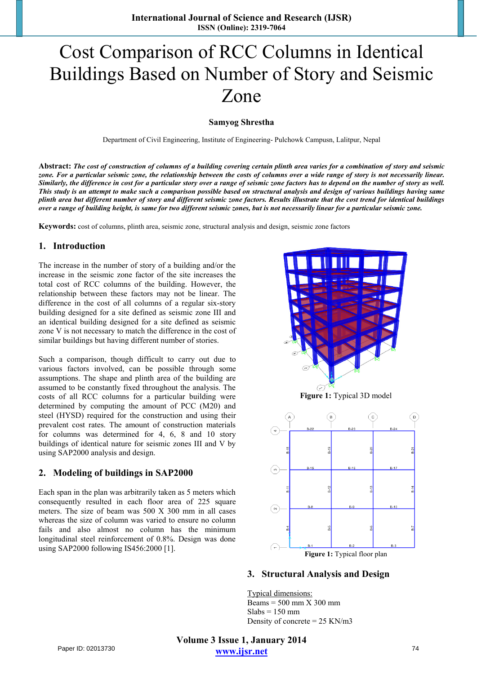# Cost Comparison of RCC Columns in Identical Buildings Based on Number of Story and Seismic Zone

#### **Samyog Shrestha**

Department of Civil Engineering, Institute of Engineering- Pulchowk Campusn, Lalitpur, Nepal

**Abstract:** *The cost of construction of columns of a building covering certain plinth area varies for a combination of story and seismic zone. For a particular seismic zone, the relationship between the costs of columns over a wide range of story is not necessarily linear. Similarly, the difference in cost for a particular story over a range of seismic zone factors has to depend on the number of story as well. This study is an attempt to make such a comparison possible based on structural analysis and design of various buildings having same plinth area but different number of story and different seismic zone factors. Results illustrate that the cost trend for identical buildings over a range of building height, is same for two different seismic zones, but is not necessarily linear for a particular seismic zone.* 

**Keywords:** cost of columns, plinth area, seismic zone, structural analysis and design, seismic zone factors

## **1. Introduction**

The increase in the number of story of a building and/or the increase in the seismic zone factor of the site increases the total cost of RCC columns of the building. However, the relationship between these factors may not be linear. The difference in the cost of all columns of a regular six-story building designed for a site defined as seismic zone III and an identical building designed for a site defined as seismic zone V is not necessary to match the difference in the cost of similar buildings but having different number of stories.

Such a comparison, though difficult to carry out due to various factors involved, can be possible through some assumptions. The shape and plinth area of the building are assumed to be constantly fixed throughout the analysis. The costs of all RCC columns for a particular building were determined by computing the amount of PCC (M20) and steel (HYSD) required for the construction and using their prevalent cost rates. The amount of construction materials for columns was determined for 4, 6, 8 and 10 story buildings of identical nature for seismic zones III and V by using SAP2000 analysis and design.

## **2. Modeling of buildings in SAP2000**

Each span in the plan was arbitrarily taken as 5 meters which consequently resulted in each floor area of 225 square meters. The size of beam was 500 X 300 mm in all cases whereas the size of column was varied to ensure no column fails and also almost no column has the minimum longitudinal steel reinforcement of 0.8%. Design was done using SAP2000 following IS456:2000 [1].



## **3. Structural Analysis and Design**

Typical dimensions: Beams  $= 500$  mm  $X$  300 mm  $Slabs = 150$  mm Density of concrete = 25 KN/m3

**Volume 3 Issue 1, January 2014 www.ijsr.net** Paper ID: 02013730 74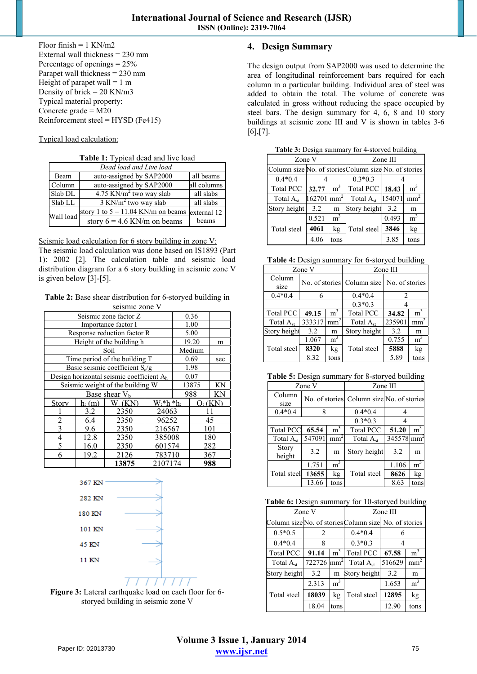Floor finish  $= 1$  KN/m2 External wall thickness = 230 mm Percentage of openings  $= 25\%$ Parapet wall thickness = 230 mm Height of parapet wall  $= 1$  m Density of brick  $= 20$  KN/m3 Typical material property: Concrete grade  $= M20$ Reinforcement steel =  $HYSD$  (Fe415)

#### Typical load calculation:

**Table 1:** Typical dead and live load

| Dead load and Live load |                                         |             |  |  |  |  |
|-------------------------|-----------------------------------------|-------------|--|--|--|--|
| Beam                    | auto-assigned by SAP2000                | all beams   |  |  |  |  |
| Column                  | auto-assigned by SAP2000                | all columns |  |  |  |  |
| Slab DL                 | $4.75$ KN/m <sup>2</sup> two way slab   | all slabs   |  |  |  |  |
| Slab LL                 | $\frac{3 \text{ KN}}{m^2}$ two way slab | all slabs   |  |  |  |  |
| Wall load               | story 1 to $5 = 11.04$ KN/m on beams    | external 12 |  |  |  |  |
|                         | story $6 = 4.6$ KN/m on beams           | beams       |  |  |  |  |

Seismic load calculation for 6 story building in zone V: The seismic load calculation was done based on IS1893 (Part 1): 2002 [2]. The calculation table and seismic load distribution diagram for a 6 story building in seismic zone V is given below [3]-[5].

**Table 2:** Base shear distribution for 6-storyed building in seismic zone V

| Seismic zone factor Z<br>0.36            |                                  |                                                      |                 |       |        |      |  |
|------------------------------------------|----------------------------------|------------------------------------------------------|-----------------|-------|--------|------|--|
|                                          |                                  |                                                      |                 |       |        |      |  |
|                                          |                                  | Importance factor I                                  |                 |       | 1.00   |      |  |
|                                          |                                  | Response reduction factor R                          |                 |       | 5.00   |      |  |
|                                          |                                  | Height of the building h                             |                 | 19.20 |        | m    |  |
|                                          |                                  | Soil                                                 |                 |       | Medium |      |  |
|                                          |                                  | Time period of the building T                        |                 |       | 0.69   | sec  |  |
|                                          |                                  | Basic seismic coefficient $S_a/g$                    |                 |       | 1.98   |      |  |
|                                          |                                  | Design horizontal seismic coefficient A <sub>h</sub> |                 |       | 0.07   |      |  |
|                                          | Seismic weight of the building W | 13875                                                |                 | KN    |        |      |  |
|                                          |                                  | Base shear $Vb$                                      |                 |       | 988    | ΚN   |  |
| Story                                    | $h_i(m)$                         | $W_i$ (KN)                                           | $W_i^*h_i^*h_i$ |       |        | (KN) |  |
|                                          | 3.2                              | 2350                                                 | 24063           |       |        |      |  |
| $\overline{2}$                           | 6.4<br>96252<br>2350             |                                                      |                 |       |        | 45   |  |
| $\overline{3}$<br>9.6<br>2350<br>216567  |                                  |                                                      |                 |       |        | 101  |  |
| $\overline{4}$<br>12.8<br>2350<br>385008 |                                  |                                                      |                 |       |        | 180  |  |
| 5                                        | 16.0<br>601574<br>2350           |                                                      |                 |       |        | 282  |  |
| 6                                        | 19.2<br>783710<br>2126           |                                                      |                 |       |        | 367  |  |
|                                          |                                  | 13875                                                | 2107174         |       |        | 988  |  |





# **4. Design Summary**

The design output from SAP2000 was used to determine the area of longitudinal reinforcement bars required for each column in a particular building. Individual area of steel was added to obtain the total. The volume of concrete was calculated in gross without reducing the space occupied by steel bars. The design summary for 4, 6, 8 and 10 story buildings at seismic zone III and V is shown in tables 3-6  $[6]$ , $[7]$ .

| <b>rapic 9.</b> Design summary for $\pm$ -story cd building |        |                 |                       |                                                       |                 |  |  |  |
|-------------------------------------------------------------|--------|-----------------|-----------------------|-------------------------------------------------------|-----------------|--|--|--|
| Zone V                                                      |        |                 | Zone III              |                                                       |                 |  |  |  |
|                                                             |        |                 |                       | Column size No. of stories Column size No. of stories |                 |  |  |  |
| $0.4*0.4$                                                   |        |                 | $0.3*0.3$             |                                                       |                 |  |  |  |
| <b>Total PCC</b>                                            | 32.77  | m <sup>3</sup>  | Total PCC             | 18.43                                                 | m <sup>3</sup>  |  |  |  |
| Total $A_{st}$                                              | 162701 | mm <sup>2</sup> | Total A <sub>st</sub> | 154071                                                | mm <sup>2</sup> |  |  |  |
| Story height                                                | 3.2    | m               | Story height          | 3.2                                                   | m               |  |  |  |
|                                                             | 0.521  | $\mathrm{m}^3$  |                       | 0.493                                                 | m <sup>3</sup>  |  |  |  |
| Total steel                                                 | 4061   | kg              | Total steel           | 3846                                                  | kg              |  |  |  |
|                                                             | 4.06   | tons            |                       | 3.85                                                  | tons            |  |  |  |

**Table 3:** Design summary for 4-storyed building

**Table 4:** Design summary for 6-storyed building

| Zone V           |                         |                | Zone III              |                                           |                |  |
|------------------|-------------------------|----------------|-----------------------|-------------------------------------------|----------------|--|
| Column<br>size   |                         |                |                       | No. of stories Column size No. of stories |                |  |
| $0.4*0.4$        | 6                       |                | $0.4*0.4$             | 2                                         |                |  |
|                  |                         |                | $0.3*0.3$             |                                           |                |  |
| <b>Total PCC</b> | m <sup>3</sup><br>49.15 |                | <b>Total PCC</b>      | 34.82                                     | m <sup>3</sup> |  |
| Total $A_{st}$   | 333317                  | mm             | Total A <sub>st</sub> | 235901                                    | mm             |  |
| Story height     | 3.2<br>m                |                | Story height          | 3.2                                       | m              |  |
|                  | 1.067                   | m <sup>3</sup> |                       | 0.755                                     | m <sup>2</sup> |  |
| Total steel      | 8320                    | kg             | Total steel           | 5888                                      | kg             |  |
|                  | 8.32                    | tons           |                       | 5.89                                      | tons           |  |

**Table 5:** Design summary for 8-storyed building

| Zone V                 |                                           |                | Zone III         |        |                 |  |
|------------------------|-------------------------------------------|----------------|------------------|--------|-----------------|--|
| Column<br>size         | No. of stories Column size No. of stories |                |                  |        |                 |  |
| $0.4*0.4$              | 8                                         |                | $0.4*0.4$        |        |                 |  |
|                        |                                           |                | $0.3*0.3$        |        |                 |  |
| <b>Total PCC</b>       | 65.54                                     | m <sup>3</sup> | <b>Total PCC</b> | 51.20  | m <sup>-</sup>  |  |
| Total $A_{st}$         | 547091                                    | mm             | Total $A_{st}$   | 345578 | mm <sup>-</sup> |  |
| <b>Story</b><br>height | 3.2                                       | m              | Story height     | 3.2    | m               |  |
|                        | 1.751                                     | m <sup>3</sup> |                  | 1.106  | m <sup>3</sup>  |  |
| Total steel            | 13655                                     | kg             | Total steel      | 8626   | kg              |  |
|                        | 13.66<br>tons                             |                |                  | 8.63   | tons            |  |

|                  | Zone V                        |                 | Zone III         |                                                       |                 |  |  |
|------------------|-------------------------------|-----------------|------------------|-------------------------------------------------------|-----------------|--|--|
|                  |                               |                 |                  | Column size No. of stories Column size No. of stories |                 |  |  |
| $0.5*0.5$        | $\mathfrak{D}_{\mathfrak{p}}$ |                 | $0.4*0.4$        |                                                       |                 |  |  |
| $0.4*0.4$        | 8                             |                 | $0.3*0.3$        |                                                       |                 |  |  |
| <b>Total PCC</b> | m <sup>3</sup><br>91.14       |                 | <b>Total PCC</b> | 67.58                                                 | m <sup>3</sup>  |  |  |
| Total $A_{st}$   | 722726                        | mm <sup>2</sup> | Total $A_{st}$   | 516629                                                | mm <sup>2</sup> |  |  |
| Story height     | 3.2                           | m               | Story height     | 3.2                                                   | m               |  |  |
|                  | 2.313                         | m <sup>3</sup>  |                  | 1.653                                                 | m <sup>3</sup>  |  |  |
| Total steel      | 18039                         | kg              | Total steel      | 12895                                                 | kg              |  |  |
|                  | 18.04                         | tons            |                  | 12.90                                                 | tons            |  |  |